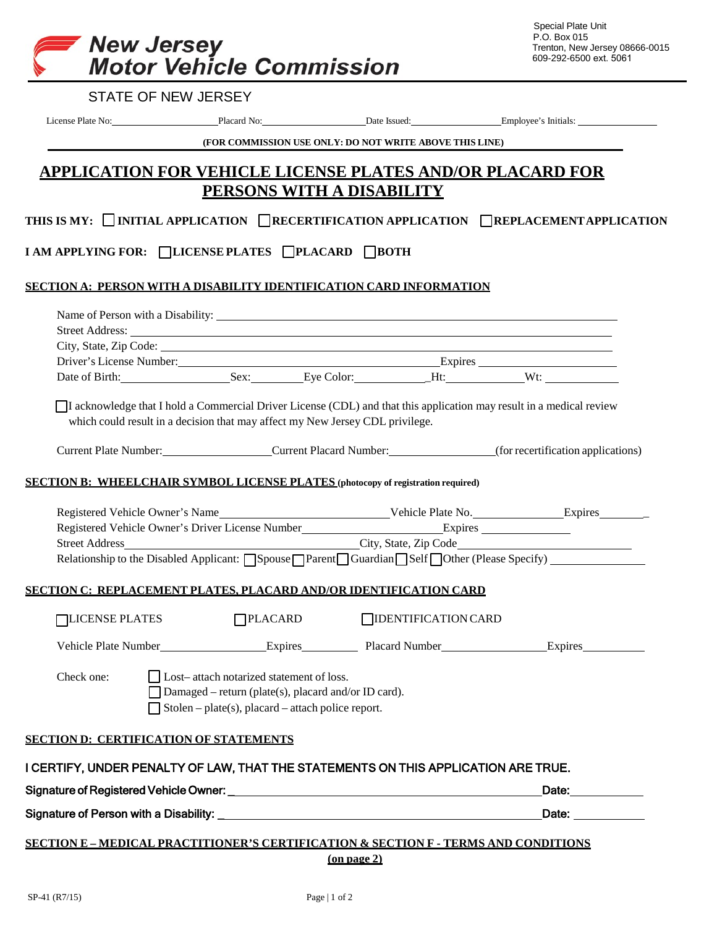

|                                                                                                                   |                                                         | License Plate No: Placard No: Placard No: Date Issued: Employee's Initials:                                                                                                                                                                                                                                                                                                                                                                                                                                                                                                                                                                                                                                                                                                                                                                                                                  |
|-------------------------------------------------------------------------------------------------------------------|---------------------------------------------------------|----------------------------------------------------------------------------------------------------------------------------------------------------------------------------------------------------------------------------------------------------------------------------------------------------------------------------------------------------------------------------------------------------------------------------------------------------------------------------------------------------------------------------------------------------------------------------------------------------------------------------------------------------------------------------------------------------------------------------------------------------------------------------------------------------------------------------------------------------------------------------------------------|
|                                                                                                                   | (FOR COMMISSION USE ONLY: DO NOT WRITE ABOVE THIS LINE) |                                                                                                                                                                                                                                                                                                                                                                                                                                                                                                                                                                                                                                                                                                                                                                                                                                                                                              |
|                                                                                                                   |                                                         |                                                                                                                                                                                                                                                                                                                                                                                                                                                                                                                                                                                                                                                                                                                                                                                                                                                                                              |
|                                                                                                                   |                                                         |                                                                                                                                                                                                                                                                                                                                                                                                                                                                                                                                                                                                                                                                                                                                                                                                                                                                                              |
|                                                                                                                   |                                                         |                                                                                                                                                                                                                                                                                                                                                                                                                                                                                                                                                                                                                                                                                                                                                                                                                                                                                              |
|                                                                                                                   |                                                         |                                                                                                                                                                                                                                                                                                                                                                                                                                                                                                                                                                                                                                                                                                                                                                                                                                                                                              |
|                                                                                                                   |                                                         |                                                                                                                                                                                                                                                                                                                                                                                                                                                                                                                                                                                                                                                                                                                                                                                                                                                                                              |
|                                                                                                                   |                                                         |                                                                                                                                                                                                                                                                                                                                                                                                                                                                                                                                                                                                                                                                                                                                                                                                                                                                                              |
|                                                                                                                   |                                                         |                                                                                                                                                                                                                                                                                                                                                                                                                                                                                                                                                                                                                                                                                                                                                                                                                                                                                              |
|                                                                                                                   |                                                         |                                                                                                                                                                                                                                                                                                                                                                                                                                                                                                                                                                                                                                                                                                                                                                                                                                                                                              |
|                                                                                                                   |                                                         |                                                                                                                                                                                                                                                                                                                                                                                                                                                                                                                                                                                                                                                                                                                                                                                                                                                                                              |
|                                                                                                                   |                                                         |                                                                                                                                                                                                                                                                                                                                                                                                                                                                                                                                                                                                                                                                                                                                                                                                                                                                                              |
|                                                                                                                   |                                                         |                                                                                                                                                                                                                                                                                                                                                                                                                                                                                                                                                                                                                                                                                                                                                                                                                                                                                              |
|                                                                                                                   |                                                         |                                                                                                                                                                                                                                                                                                                                                                                                                                                                                                                                                                                                                                                                                                                                                                                                                                                                                              |
|                                                                                                                   |                                                         |                                                                                                                                                                                                                                                                                                                                                                                                                                                                                                                                                                                                                                                                                                                                                                                                                                                                                              |
|                                                                                                                   |                                                         |                                                                                                                                                                                                                                                                                                                                                                                                                                                                                                                                                                                                                                                                                                                                                                                                                                                                                              |
|                                                                                                                   |                                                         |                                                                                                                                                                                                                                                                                                                                                                                                                                                                                                                                                                                                                                                                                                                                                                                                                                                                                              |
|                                                                                                                   |                                                         |                                                                                                                                                                                                                                                                                                                                                                                                                                                                                                                                                                                                                                                                                                                                                                                                                                                                                              |
|                                                                                                                   |                                                         |                                                                                                                                                                                                                                                                                                                                                                                                                                                                                                                                                                                                                                                                                                                                                                                                                                                                                              |
|                                                                                                                   |                                                         |                                                                                                                                                                                                                                                                                                                                                                                                                                                                                                                                                                                                                                                                                                                                                                                                                                                                                              |
|                                                                                                                   |                                                         |                                                                                                                                                                                                                                                                                                                                                                                                                                                                                                                                                                                                                                                                                                                                                                                                                                                                                              |
|                                                                                                                   |                                                         |                                                                                                                                                                                                                                                                                                                                                                                                                                                                                                                                                                                                                                                                                                                                                                                                                                                                                              |
|                                                                                                                   |                                                         | Relationship to the Disabled Applicant: Spouse Parent Guardian Self Other (Please Specify)                                                                                                                                                                                                                                                                                                                                                                                                                                                                                                                                                                                                                                                                                                                                                                                                   |
| <u>SECTION C: REPLACEMENT PLATES, PLACARD AND/OR IDENTIFICATION CARD</u>                                          |                                                         |                                                                                                                                                                                                                                                                                                                                                                                                                                                                                                                                                                                                                                                                                                                                                                                                                                                                                              |
| $\bigcap$ PLACARD                                                                                                 | <b>TIDENTIFICATION CARD</b>                             |                                                                                                                                                                                                                                                                                                                                                                                                                                                                                                                                                                                                                                                                                                                                                                                                                                                                                              |
|                                                                                                                   |                                                         |                                                                                                                                                                                                                                                                                                                                                                                                                                                                                                                                                                                                                                                                                                                                                                                                                                                                                              |
|                                                                                                                   |                                                         |                                                                                                                                                                                                                                                                                                                                                                                                                                                                                                                                                                                                                                                                                                                                                                                                                                                                                              |
| Lost-attach notarized statement of loss.                                                                          |                                                         |                                                                                                                                                                                                                                                                                                                                                                                                                                                                                                                                                                                                                                                                                                                                                                                                                                                                                              |
| Damaged – return (plate(s), placard and/or ID card).<br>$\Box$ Stolen – plate(s), placard – attach police report. |                                                         |                                                                                                                                                                                                                                                                                                                                                                                                                                                                                                                                                                                                                                                                                                                                                                                                                                                                                              |
|                                                                                                                   |                                                         |                                                                                                                                                                                                                                                                                                                                                                                                                                                                                                                                                                                                                                                                                                                                                                                                                                                                                              |
| <b>SECTION D: CERTIFICATION OF STATEMENTS</b>                                                                     |                                                         |                                                                                                                                                                                                                                                                                                                                                                                                                                                                                                                                                                                                                                                                                                                                                                                                                                                                                              |
| I CERTIFY, UNDER PENALTY OF LAW, THAT THE STATEMENTS ON THIS APPLICATION ARE TRUE.                                |                                                         |                                                                                                                                                                                                                                                                                                                                                                                                                                                                                                                                                                                                                                                                                                                                                                                                                                                                                              |
|                                                                                                                   |                                                         | Date: _____________                                                                                                                                                                                                                                                                                                                                                                                                                                                                                                                                                                                                                                                                                                                                                                                                                                                                          |
|                                                                                                                   |                                                         | <b>APPLICATION FOR VEHICLE LICENSE PLATES AND/OR PLACARD FOR</b><br>PERSONS WITH A DISABILITY<br>THIS IS MY: □INITIAL APPLICATION □RECERTIFICATION APPLICATION □REPLACEMENT APPLICATION<br><b>I AM APPLYING FOR: □LICENSE PLATES □ PLACARD □ BOTH</b><br><u>SECTION A: PERSON WITH A DISABILITY IDENTIFICATION CARD INFORMATION</u><br>Street Address: <u>New York: William Street Address:</u> New York: 1997<br>Driver's License Number: Expires Expires<br>Date of Birth: Sex: Eye Color: Ht: Wt:<br>I acknowledge that I hold a Commercial Driver License (CDL) and that this application may result in a medical review<br>which could result in a decision that may affect my New Jersey CDL privilege.<br>Current Plate Number: Current Placard Number: (for recertification applications)<br><b>SECTION B: WHEELCHAIR SYMBOL LICENSE PLATES (photocopy of registration required)</b> |